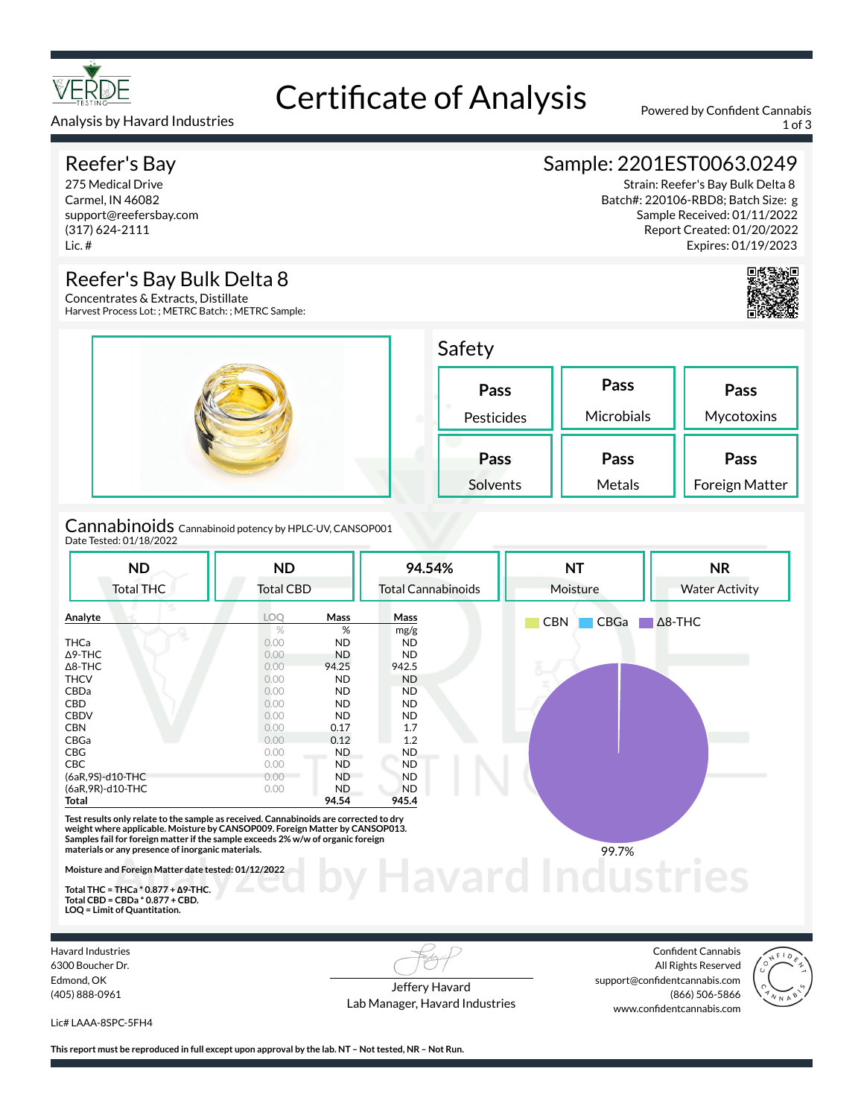

Certificate of Analysis Powered by Confident Cannabis Analysis by Havard Industries 1 of 3 and 2008 and 2009 and 2009 and 2009 and 2009 and 2009 and 2009 and 2009 and 2009 and 2009 and 2009 and 2009 and 2009 and 2009 and 2009 and 2009 and 2009 and 2009 and 2009 and 2009 and 2

# Reefer's Bay

275 Medical Drive Carmel, IN 46082 support@reefersbay.com (317) 624-2111 Lic. #

# Reefer's Bay Bulk Delta 8

Concentrates & Extracts, Distillate Harvest Process Lot: ; METRC Batch: ; METRC Sample:



Cannabinoids Cannabinoid potency by HPLC-UV, CANSOP001 Date Tested: 01/18/2022

| <b>ND</b>         | <b>ND</b>        |           | 94.54%                    | <b>NT</b>          | <b>NR</b>             |  |
|-------------------|------------------|-----------|---------------------------|--------------------|-----------------------|--|
| <b>Total THC</b>  | <b>Total CBD</b> |           | <b>Total Cannabinoids</b> | Moisture           | <b>Water Activity</b> |  |
| Analyte           | LOO              | Mass      | Mass                      | <b>CBN</b><br>CBGa | $\Delta$ 8-THC        |  |
|                   | $\%$             | %         | mg/g                      |                    |                       |  |
| <b>THCa</b>       | 0.00             | <b>ND</b> | <b>ND</b>                 |                    |                       |  |
| $\Delta$ 9-THC    | 0.00             | <b>ND</b> | ND.                       |                    |                       |  |
| $\Delta$ 8-THC    | 0.00             | 94.25     | 942.5                     |                    |                       |  |
| <b>THCV</b>       | 0.00             | <b>ND</b> | <b>ND</b>                 |                    |                       |  |
| <b>CBDa</b>       | 0.00             | <b>ND</b> | <b>ND</b>                 |                    |                       |  |
| CBD               | 0.00             | <b>ND</b> | ND.                       |                    |                       |  |
| <b>CBDV</b>       | 0.00             | <b>ND</b> | ND.                       |                    |                       |  |
| <b>CBN</b>        | 0.00             | 0.17      | 1.7                       |                    |                       |  |
| CBGa              | 0.00             | 0.12      | 1.2                       |                    |                       |  |
| CBG               | 0.00             | ND        | ND.                       |                    |                       |  |
| <b>CBC</b>        | 0.00             | <b>ND</b> | ND.                       |                    |                       |  |
| (6aR, 9S)-d10-THC | 0.00             | ND.       | ND.                       |                    |                       |  |
| (6aR, 9R)-d10-THC | 0.00             | <b>ND</b> | <b>ND</b>                 |                    |                       |  |
| Total             |                  | 94.54     | 945.4                     |                    |                       |  |

**Moisture and Foreign Matter date tested: 01/12/2022** 

**Total THC = THCa \* 0.877 + ∆9-THC. Total CBD = CBDa \* 0.877 + CBD. LOQ = Limit of Quantitation.**

Havard Industries 6300 Boucher Dr. Edmond, OK (405) 888-0961

Jeffery Havard Lab Manager, Havard Industries

**by Havard Industries** 

Confident Cannabis All Rights Reserved support@confidentcannabis.com (866) 506-5866 www.confidentcannabis.com



Lic# LAAA-8SPC-5FH4

**This report must be reproduced in full except upon approval by the lab. NT – Not tested, NR – Not Run.**

# Sample: 2201EST0063.0249

Strain: Reefer's Bay Bulk Delta 8 Batch#: 220106-RBD8; Batch Size: g Sample Received: 01/11/2022 Report Created: 01/20/2022 Expires: 01/19/2023

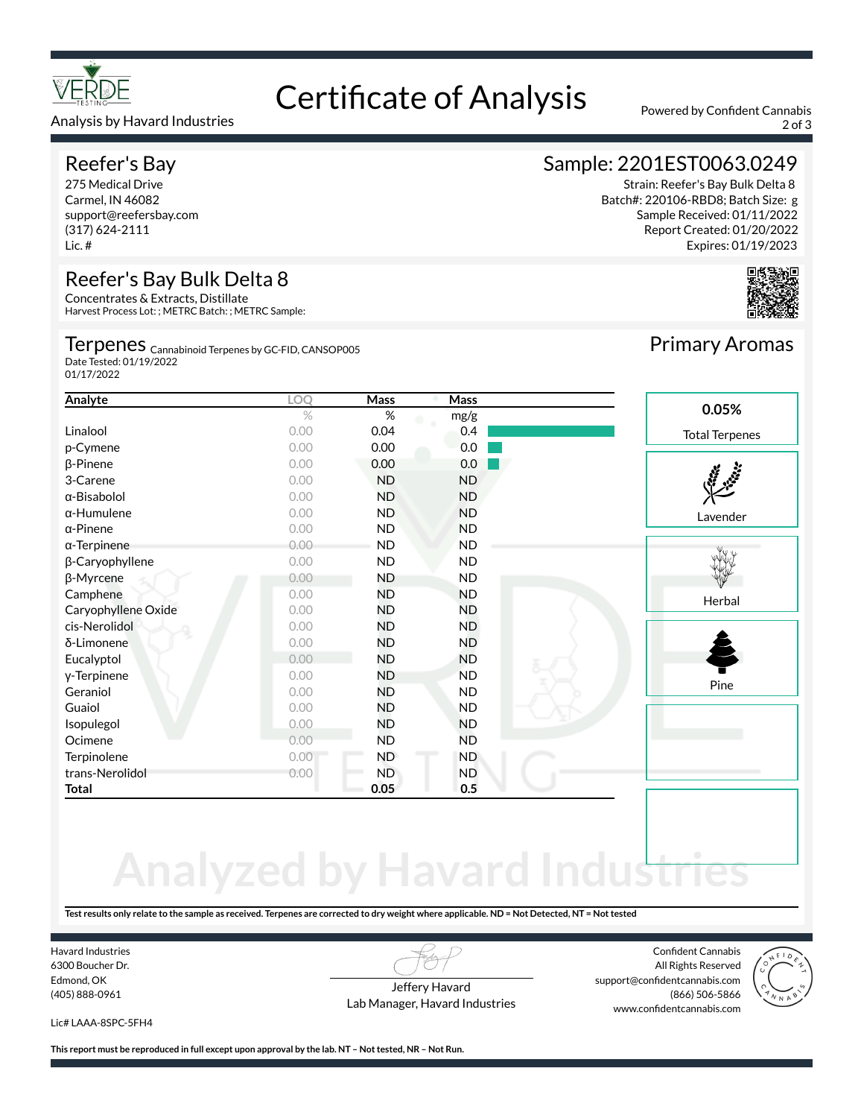

### Analysis by Havard Industries 2007 30 and 2007 30 and 2007 30 and 2007 30 and 2007 30 and 2007 30 and 2007 30 and 2007 30 and 2007 30 and 2007 30 and 2007 30 and 2007 30 and 2007 30 and 2007 30 and 2007 30 and 2007 30 and

# Reefer's Bay

275 Medical Drive Carmel, IN 46082 support@reefersbay.com (317) 624-2111 Lic. #

# Reefer's Bay Bulk Delta 8

Concentrates & Extracts, Distillate Harvest Process Lot: ; METRC Batch: ; METRC Sample:

## Terpenes <sub>Cannabinoid Terpenes by GC-FID, CANSOP005</sub> Date Tested: 01/19/2022

01/17/2022

# Strain: Reefer's Bay Bulk Delta 8

Batch#: 220106-RBD8; Batch Size: g Sample Received: 01/11/2022 Report Created: 01/20/2022 Expires: 01/19/2023

Sample: 2201EST0063.0249



### **Analyte LOQ Mass Mass**  $%$  mg/g Linalool 0.00 0.04 0.4 p-Cymene 0.00 0.00 0.00 0.00 **β-Pinene** 0.00 **0.00 0.00** 0.00 3-Carene 0.00 ND ND α-Bisabolol 0.00 ND ND α-Humulene 0.00 ND ND α-Pinene 0.00 ND ND α-Terpinene 0.00 ND ND β-Caryophyllene 0.00 ND ND β-Myrcene 0.00 ND ND Camphene 0.00 ND ND Caryophyllene Oxide 0.00 ND ND cis-Nerolidol 0.00 ND ND δ-Limonene 0.00 ND ND Eucalyptol 0.00 ND ND γ-Terpinene 0.00 ND ND Geraniol 0.00 ND ND Guaiol 0.00 ND ND Isopulegol 0.00 ND ND Lavender **Herbal** Pine **0.05%** Total Terpenes



# **Analyzed by Havard Industries**

**Test results only relate to the sample as received. Terpenes are corrected to dry weight where applicable. ND = Not Detected, NT = Not tested**

Havard Industries 6300 Boucher Dr. Edmond, OK (405) 888-0961

Jeffery Havard Lab Manager, Havard Industries

Confident Cannabis All Rights Reserved support@confidentcannabis.com (866) 506-5866 www.confidentcannabis.com



Lic# LAAA-8SPC-5FH4

**This report must be reproduced in full except upon approval by the lab. NT – Not tested, NR – Not Run.**

Ocimene 0.00 ND ND Terpinolene 10.00 ND ND ND trans-Nerolidol 0.00 ND ND **Total 0.05 0.5**

Primary Aromas

# Certificate of Analysis Powered by Confident Cannabis